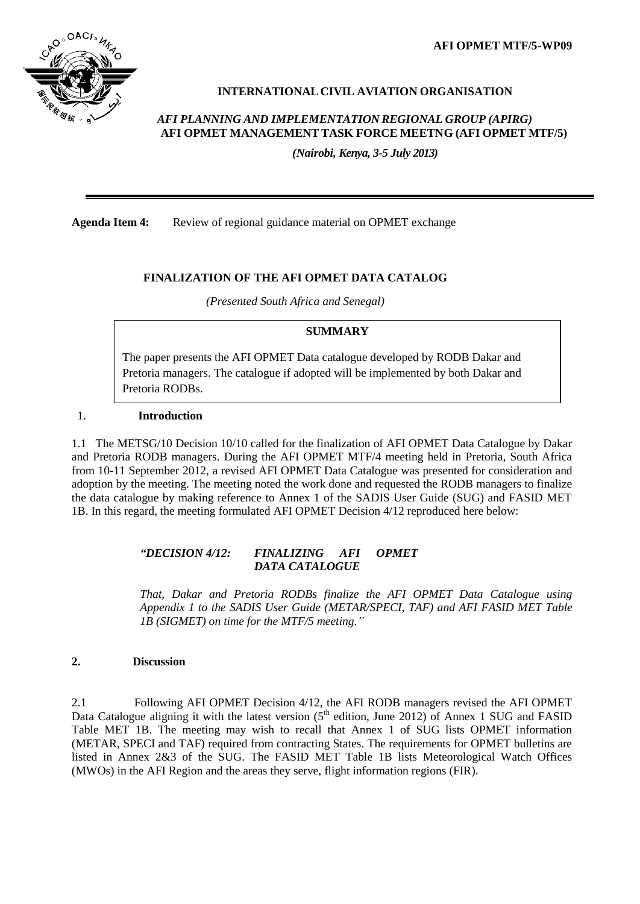**AFI OPMET MTF/5-WP09**



# **INTERNATIONAL CIVIL AVIATION ORGANISATION**

## *AFI PLANNING AND IMPLEMENTATION REGIONAL GROUP (APIRG)* **AFI OPMET MANAGEMENT TASK FORCE MEETNG (AFI OPMET MTF/5)**

*(Nairobi, Kenya, 3-5 July 2013)*

**Agenda Item 4:** Review of regional guidance material on OPMET exchange

### **FINALIZATION OF THE AFI OPMET DATA CATALOG**

*(Presented South Africa and Senegal)*

### **SUMMARY**

The paper presents the AFI OPMET Data catalogue developed by RODB Dakar and Pretoria managers. The catalogue if adopted will be implemented by both Dakar and Pretoria RODBs.

### 1. **Introduction**

1.1 The METSG/10 Decision 10/10 called for the finalization of AFI OPMET Data Catalogue by Dakar and Pretoria RODB managers. During the AFI OPMET MTF/4 meeting held in Pretoria, South Africa from 10-11 September 2012, a revised AFI OPMET Data Catalogue was presented for consideration and adoption by the meeting. The meeting noted the work done and requested the RODB managers to finalize the data catalogue by making reference to Annex 1 of the SADIS User Guide (SUG) and FASID MET 1B. In this regard, the meeting formulated AFI OPMET Decision 4/12 reproduced here below:

### *"DECISION 4/12: FINALIZING AFI OPMET DATA CATALOGUE*

*That, Dakar and Pretoria RODBs finalize the AFI OPMET Data Catalogue using Appendix 1 to the SADIS User Guide (METAR/SPECI, TAF) and AFI FASID MET Table 1B (SIGMET) on time for the MTF/5 meeting."*

### **2. Discussion**

2.1 Following AFI OPMET Decision 4/12, the AFI RODB managers revised the AFI OPMET Data Catalogue aligning it with the latest version  $(5<sup>th</sup>$  edition, June 2012) of Annex 1 SUG and FASID Table MET 1B. The meeting may wish to recall that Annex 1 of SUG lists OPMET information (METAR, SPECI and TAF) required from contracting States. The requirements for OPMET bulletins are listed in Annex 2&3 of the SUG. The FASID MET Table 1B lists Meteorological Watch Offices (MWOs) in the AFI Region and the areas they serve, flight information regions (FIR).